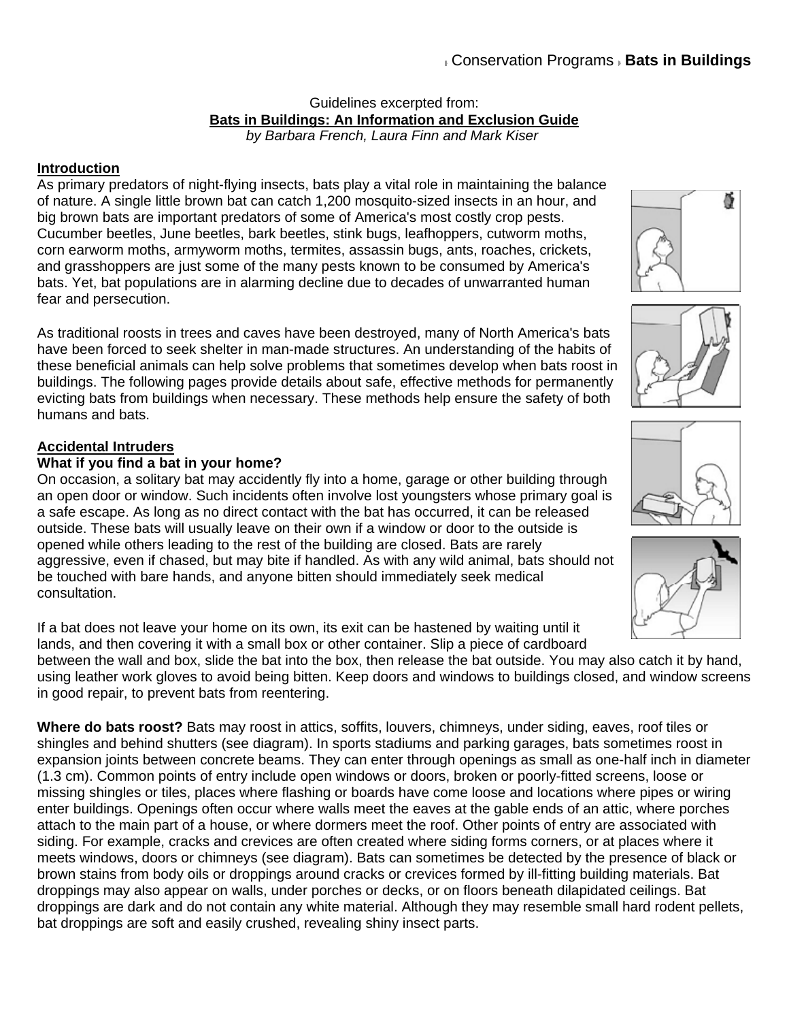#### Guidelines excerpted from: **Bats in Buildings: An Information and Exclusion Guide** *by Barbara French, Laura Finn and Mark Kiser*

# **Introduction**

As primary predators of night-flying insects, bats play a vital role in maintaining the balance of nature. A single little brown bat can catch 1,200 mosquito-sized insects in an hour, and big brown bats are important predators of some of America's most costly crop pests. Cucumber beetles, June beetles, bark beetles, stink bugs, leafhoppers, cutworm moths, corn earworm moths, armyworm moths, termites, assassin bugs, ants, roaches, crickets, and grasshoppers are just some of the many pests known to be consumed by America's bats. Yet, bat populations are in alarming decline due to decades of unwarranted human fear and persecution.

As traditional roosts in trees and caves have been destroyed, many of North America's bats have been forced to seek shelter in man-made structures. An understanding of the habits of these beneficial animals can help solve problems that sometimes develop when bats roost in buildings. The following pages provide details about safe, effective methods for permanently evicting bats from buildings when necessary. These methods help ensure the safety of both humans and bats.

# **Accidental Intruders**

# **What if you find a bat in your home?**

On occasion, a solitary bat may accidently fly into a home, garage or other building through an open door or window. Such incidents often involve lost youngsters whose primary goal is a safe escape. As long as no direct contact with the bat has occurred, it can be released outside. These bats will usually leave on their own if a window or door to the outside is opened while others leading to the rest of the building are closed. Bats are rarely aggressive, even if chased, but may bite if handled. As with any wild animal, bats should not be touched with bare hands, and anyone bitten should immediately seek medical consultation.

If a bat does not leave your home on its own, its exit can be hastened by waiting until it lands, and then covering it with a small box or other container. Slip a piece of cardboard

between the wall and box, slide the bat into the box, then release the bat outside. You may also catch it by hand, using leather work gloves to avoid being bitten. Keep doors and windows to buildings closed, and window screens in good repair, to prevent bats from reentering.

**Where do bats roost?** Bats may roost in attics, soffits, louvers, chimneys, under siding, eaves, roof tiles or shingles and behind shutters (see diagram). In sports stadiums and parking garages, bats sometimes roost in expansion joints between concrete beams. They can enter through openings as small as one-half inch in diameter (1.3 cm). Common points of entry include open windows or doors, broken or poorly-fitted screens, loose or missing shingles or tiles, places where flashing or boards have come loose and locations where pipes or wiring enter buildings. Openings often occur where walls meet the eaves at the gable ends of an attic, where porches attach to the main part of a house, or where dormers meet the roof. Other points of entry are associated with siding. For example, cracks and crevices are often created where siding forms corners, or at places where it meets windows, doors or chimneys (see diagram). Bats can sometimes be detected by the presence of black or brown stains from body oils or droppings around cracks or crevices formed by ill-fitting building materials. Bat droppings may also appear on walls, under porches or decks, or on floors beneath dilapidated ceilings. Bat droppings are dark and do not contain any white material. Although they may resemble small hard rodent pellets, bat droppings are soft and easily crushed, revealing shiny insect parts.







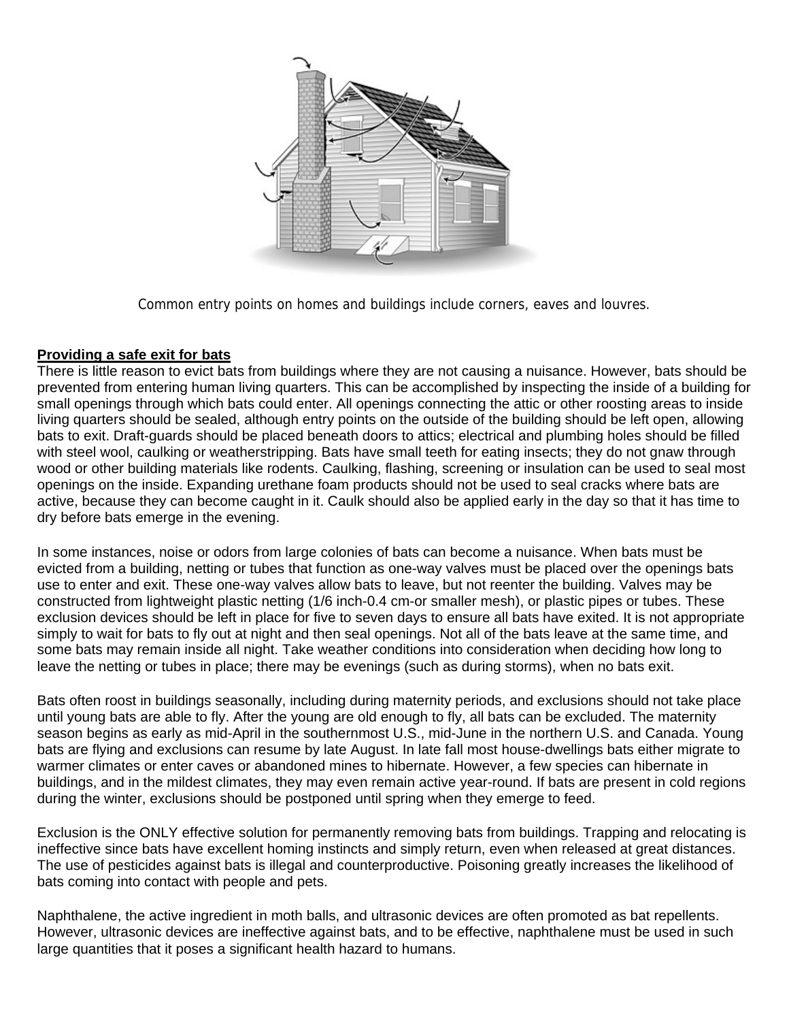

Common entry points on homes and buildings include corners, eaves and louvres.

## **Providing a safe exit for bats**

There is little reason to evict bats from buildings where they are not causing a nuisance. However, bats should be prevented from entering human living quarters. This can be accomplished by inspecting the inside of a building for small openings through which bats could enter. All openings connecting the attic or other roosting areas to inside living quarters should be sealed, although entry points on the outside of the building should be left open, allowing bats to exit. Draft-guards should be placed beneath doors to attics; electrical and plumbing holes should be filled with steel wool, caulking or weatherstripping. Bats have small teeth for eating insects; they do not gnaw through wood or other building materials like rodents. Caulking, flashing, screening or insulation can be used to seal most openings on the inside. Expanding urethane foam products should not be used to seal cracks where bats are active, because they can become caught in it. Caulk should also be applied early in the day so that it has time to dry before bats emerge in the evening.

In some instances, noise or odors from large colonies of bats can become a nuisance. When bats must be evicted from a building, netting or tubes that function as one-way valves must be placed over the openings bats use to enter and exit. These one-way valves allow bats to leave, but not reenter the building. Valves may be constructed from lightweight plastic netting (1/6 inch-0.4 cm-or smaller mesh), or plastic pipes or tubes. These exclusion devices should be left in place for five to seven days to ensure all bats have exited. It is not appropriate simply to wait for bats to fly out at night and then seal openings. Not all of the bats leave at the same time, and some bats may remain inside all night. Take weather conditions into consideration when deciding how long to leave the netting or tubes in place; there may be evenings (such as during storms), when no bats exit.

Bats often roost in buildings seasonally, including during maternity periods, and exclusions should not take place until young bats are able to fly. After the young are old enough to fly, all bats can be excluded. The maternity season begins as early as mid-April in the southernmost U.S., mid-June in the northern U.S. and Canada. Young bats are flying and exclusions can resume by late August. In late fall most house-dwellings bats either migrate to warmer climates or enter caves or abandoned mines to hibernate. However, a few species can hibernate in buildings, and in the mildest climates, they may even remain active year-round. If bats are present in cold regions during the winter, exclusions should be postponed until spring when they emerge to feed.

Exclusion is the ONLY effective solution for permanently removing bats from buildings. Trapping and relocating is ineffective since bats have excellent homing instincts and simply return, even when released at great distances. The use of pesticides against bats is illegal and counterproductive. Poisoning greatly increases the likelihood of bats coming into contact with people and pets.

Naphthalene, the active ingredient in moth balls, and ultrasonic devices are often promoted as bat repellents. However, ultrasonic devices are ineffective against bats, and to be effective, naphthalene must be used in such large quantities that it poses a significant health hazard to humans.